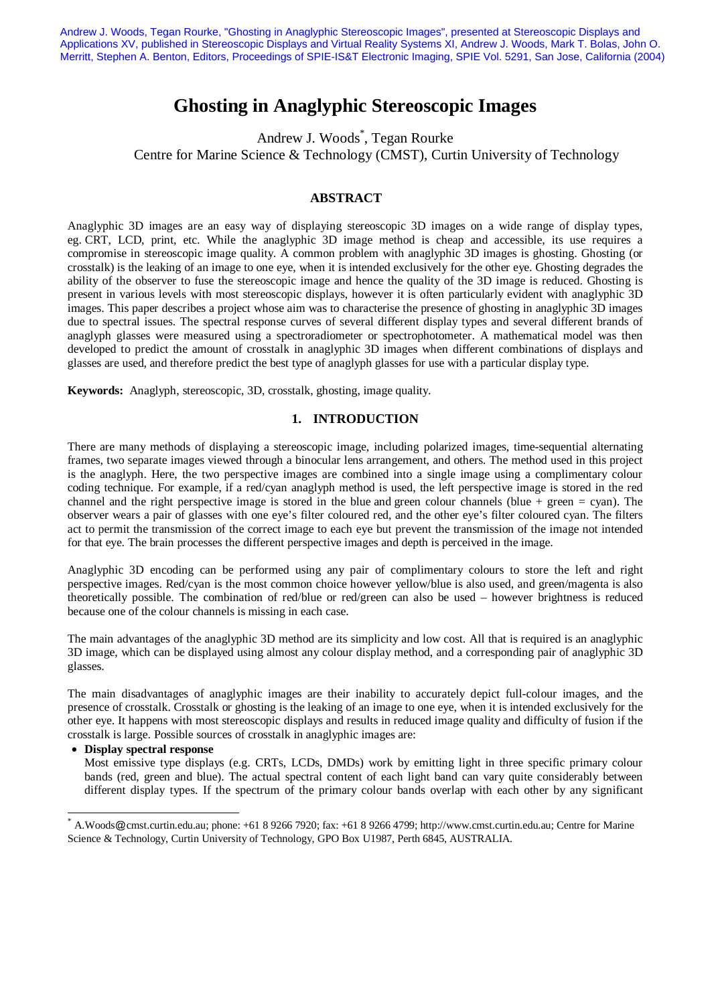Andrew J. Woods, Tegan Rourke, "Ghosting in Anaglyphic Stereoscopic Images", presented at Stereoscopic Displays and Applications XV, published in Stereoscopic Displays and Virtual Reality Systems XI, Andrew J. Woods, Mark T. Bolas, John O. Merritt, Stephen A. Benton, Editors, Proceedings of SPIE-IS&T Electronic Imaging, SPIE Vol. 5291, San Jose, California (2004)

# **Ghosting in Anaglyphic Stereoscopic Images**

Andrew J. Woods\* , Tegan Rourke Centre for Marine Science & Technology (CMST), Curtin University of Technology

#### **ABSTRACT**

Anaglyphic 3D images are an easy way of displaying stereoscopic 3D images on a wide range of display types, eg. CRT, LCD, print, etc. While the anaglyphic 3D image method is cheap and accessible, its use requires a compromise in stereoscopic image quality. A common problem with anaglyphic 3D images is ghosting. Ghosting (or crosstalk) is the leaking of an image to one eye, when it is intended exclusively for the other eye. Ghosting degrades the ability of the observer to fuse the stereoscopic image and hence the quality of the 3D image is reduced. Ghosting is present in various levels with most stereoscopic displays, however it is often particularly evident with anaglyphic 3D images. This paper describes a project whose aim was to characterise the presence of ghosting in anaglyphic 3D images due to spectral issues. The spectral response curves of several different display types and several different brands of anaglyph glasses were measured using a spectroradiometer or spectrophotometer. A mathematical model was then developed to predict the amount of crosstalk in anaglyphic 3D images when different combinations of displays and glasses are used, and therefore predict the best type of anaglyph glasses for use with a particular display type.

**Keywords:** Anaglyph, stereoscopic, 3D, crosstalk, ghosting, image quality.

#### **1. INTRODUCTION**

There are many methods of displaying a stereoscopic image, including polarized images, time-sequential alternating frames, two separate images viewed through a binocular lens arrangement, and others. The method used in this project is the anaglyph. Here, the two perspective images are combined into a single image using a complimentary colour coding technique. For example, if a red/cyan anaglyph method is used, the left perspective image is stored in the red channel and the right perspective image is stored in the blue and green colour channels (blue + green  $=$  cyan). The observer wears a pair of glasses with one eye's filter coloured red, and the other eye's filter coloured cyan. The filters act to permit the transmission of the correct image to each eye but prevent the transmission of the image not intended for that eye. The brain processes the different perspective images and depth is perceived in the image.

Anaglyphic 3D encoding can be performed using any pair of complimentary colours to store the left and right perspective images. Red/cyan is the most common choice however yellow/blue is also used, and green/magenta is also theoretically possible. The combination of red/blue or red/green can also be used – however brightness is reduced because one of the colour channels is missing in each case.

The main advantages of the anaglyphic 3D method are its simplicity and low cost. All that is required is an anaglyphic 3D image, which can be displayed using almost any colour display method, and a corresponding pair of anaglyphic 3D glasses.

The main disadvantages of anaglyphic images are their inability to accurately depict full-colour images, and the presence of crosstalk. Crosstalk or ghosting is the leaking of an image to one eye, when it is intended exclusively for the other eye. It happens with most stereoscopic displays and results in reduced image quality and difficulty of fusion if the crosstalk is large. Possible sources of crosstalk in anaglyphic images are:

• **Display spectral response** 

 $\overline{a}$ 

Most emissive type displays (e.g. CRTs, LCDs, DMDs) work by emitting light in three specific primary colour bands (red, green and blue). The actual spectral content of each light band can vary quite considerably between different display types. If the spectrum of the primary colour bands overlap with each other by any significant

A.Woods@cmst.curtin.edu.au; phone: +61 8 9266 7920; fax: +61 8 9266 4799; http://www.cmst.curtin.edu.au; Centre for Marine Science & Technology, Curtin University of Technology, GPO Box U1987, Perth 6845, AUSTRALIA.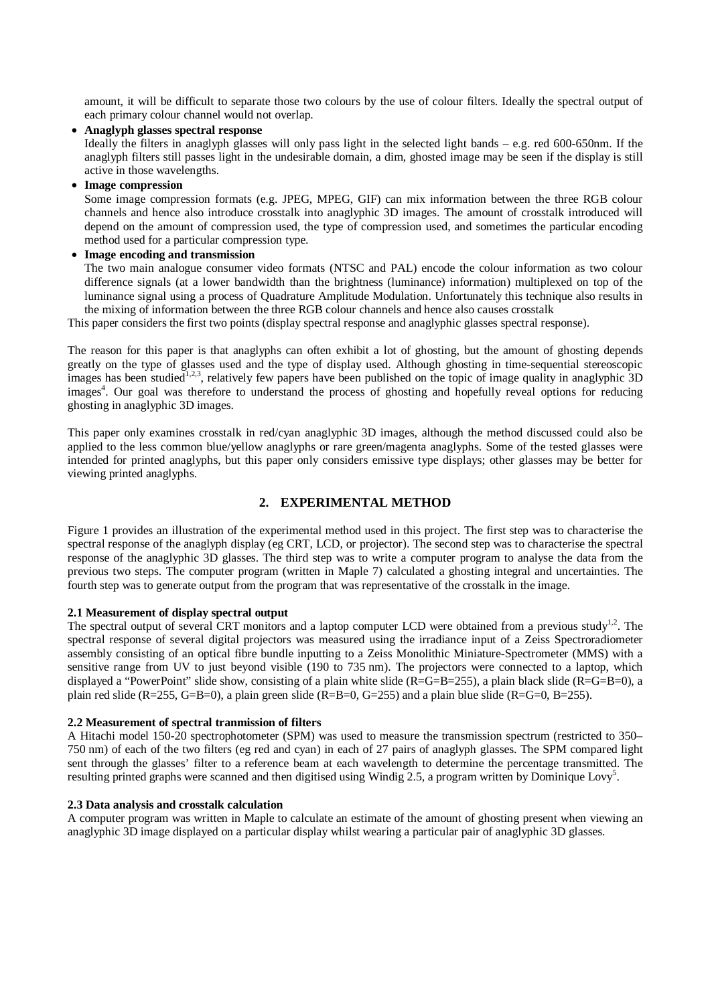amount, it will be difficult to separate those two colours by the use of colour filters. Ideally the spectral output of each primary colour channel would not overlap.

#### • **Anaglyph glasses spectral response**

Ideally the filters in anaglyph glasses will only pass light in the selected light bands – e.g. red 600-650nm. If the anaglyph filters still passes light in the undesirable domain, a dim, ghosted image may be seen if the display is still active in those wavelengths.

## • **Image compression**

Some image compression formats (e.g. JPEG, MPEG, GIF) can mix information between the three RGB colour channels and hence also introduce crosstalk into anaglyphic 3D images. The amount of crosstalk introduced will depend on the amount of compression used, the type of compression used, and sometimes the particular encoding method used for a particular compression type.

## • **Image encoding and transmission**

The two main analogue consumer video formats (NTSC and PAL) encode the colour information as two colour difference signals (at a lower bandwidth than the brightness (luminance) information) multiplexed on top of the luminance signal using a process of Quadrature Amplitude Modulation. Unfortunately this technique also results in the mixing of information between the three RGB colour channels and hence also causes crosstalk

This paper considers the first two points (display spectral response and anaglyphic glasses spectral response).

The reason for this paper is that anaglyphs can often exhibit a lot of ghosting, but the amount of ghosting depends greatly on the type of glasses used and the type of display used. Although ghosting in time-sequential stereoscopic images has been studied<sup>1,2,3</sup>, relatively few papers have been published on the topic of image quality in anaglyphic  $3D$ images<sup>4</sup>. Our goal was therefore to understand the process of ghosting and hopefully reveal options for reducing ghosting in anaglyphic 3D images.

This paper only examines crosstalk in red/cyan anaglyphic 3D images, although the method discussed could also be applied to the less common blue/yellow anaglyphs or rare green/magenta anaglyphs. Some of the tested glasses were intended for printed anaglyphs, but this paper only considers emissive type displays; other glasses may be better for viewing printed anaglyphs.

## **2. EXPERIMENTAL METHOD**

Figure 1 provides an illustration of the experimental method used in this project. The first step was to characterise the spectral response of the anaglyph display (eg CRT, LCD, or projector). The second step was to characterise the spectral response of the anaglyphic 3D glasses. The third step was to write a computer program to analyse the data from the previous two steps. The computer program (written in Maple 7) calculated a ghosting integral and uncertainties. The fourth step was to generate output from the program that was representative of the crosstalk in the image.

#### **2.1 Measurement of display spectral output**

The spectral output of several CRT monitors and a laptop computer LCD were obtained from a previous study<sup>1,2</sup>. The spectral response of several digital projectors was measured using the irradiance input of a Zeiss Spectroradiometer assembly consisting of an optical fibre bundle inputting to a Zeiss Monolithic Miniature-Spectrometer (MMS) with a sensitive range from UV to just beyond visible (190 to 735 nm). The projectors were connected to a laptop, which displayed a "PowerPoint" slide show, consisting of a plain white slide (R=G=B=255), a plain black slide (R=G=B=0), a plain red slide (R=255, G=B=0), a plain green slide (R=B=0, G=255) and a plain blue slide (R=G=0, B=255).

#### **2.2 Measurement of spectral tranmission of filters**

A Hitachi model 150-20 spectrophotometer (SPM) was used to measure the transmission spectrum (restricted to 350– 750 nm) of each of the two filters (eg red and cyan) in each of 27 pairs of anaglyph glasses. The SPM compared light sent through the glasses' filter to a reference beam at each wavelength to determine the percentage transmitted. The resulting printed graphs were scanned and then digitised using Windig 2.5, a program written by Dominique Lovy<sup>5</sup>.

#### **2.3 Data analysis and crosstalk calculation**

A computer program was written in Maple to calculate an estimate of the amount of ghosting present when viewing an anaglyphic 3D image displayed on a particular display whilst wearing a particular pair of anaglyphic 3D glasses.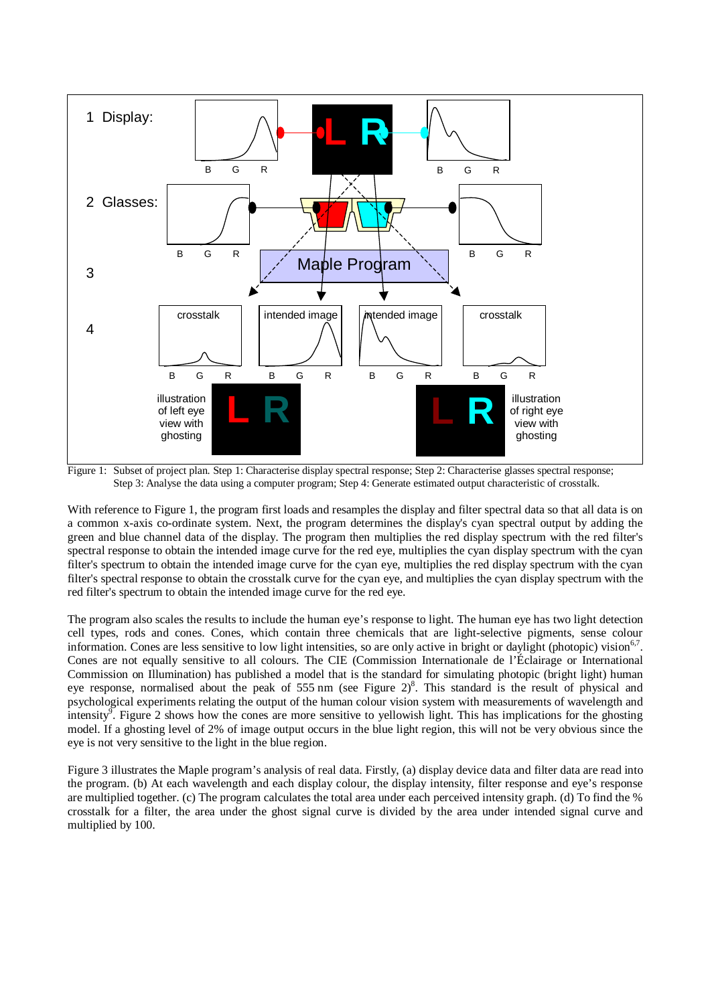

Figure 1: Subset of project plan. Step 1: Characterise display spectral response; Step 2: Characterise glasses spectral response; Step 3: Analyse the data using a computer program; Step 4: Generate estimated output characteristic of crosstalk.

With reference to Figure 1, the program first loads and resamples the display and filter spectral data so that all data is on a common x-axis co-ordinate system. Next, the program determines the display's cyan spectral output by adding the green and blue channel data of the display. The program then multiplies the red display spectrum with the red filter's spectral response to obtain the intended image curve for the red eye, multiplies the cyan display spectrum with the cyan filter's spectrum to obtain the intended image curve for the cyan eye, multiplies the red display spectrum with the cyan filter's spectral response to obtain the crosstalk curve for the cyan eye, and multiplies the cyan display spectrum with the red filter's spectrum to obtain the intended image curve for the red eye.

The program also scales the results to include the human eye's response to light. The human eye has two light detection cell types, rods and cones. Cones, which contain three chemicals that are light-selective pigments, sense colour information. Cones are less sensitive to low light intensities, so are only active in bright or daylight (photopic) vision<sup>6,7</sup>. Cones are not equally sensitive to all colours. The CIE (Commission Internationale de l'Éclairage or International Commission on Illumination) has published a model that is the standard for simulating photopic (bright light) human eye response, normalised about the peak of 555 nm (see Figure  $2)^8$ . This standard is the result of physical and psychological experiments relating the output of the human colour vision system with measurements of wavelength and intensity<sup>9</sup>. Figure 2 shows how the cones are more sensitive to yellowish light. This has implications for the ghosting model. If a ghosting level of 2% of image output occurs in the blue light region, this will not be very obvious since the eye is not very sensitive to the light in the blue region.

Figure 3 illustrates the Maple program's analysis of real data. Firstly, (a) display device data and filter data are read into the program. (b) At each wavelength and each display colour, the display intensity, filter response and eye's response are multiplied together. (c) The program calculates the total area under each perceived intensity graph. (d) To find the % crosstalk for a filter, the area under the ghost signal curve is divided by the area under intended signal curve and multiplied by 100.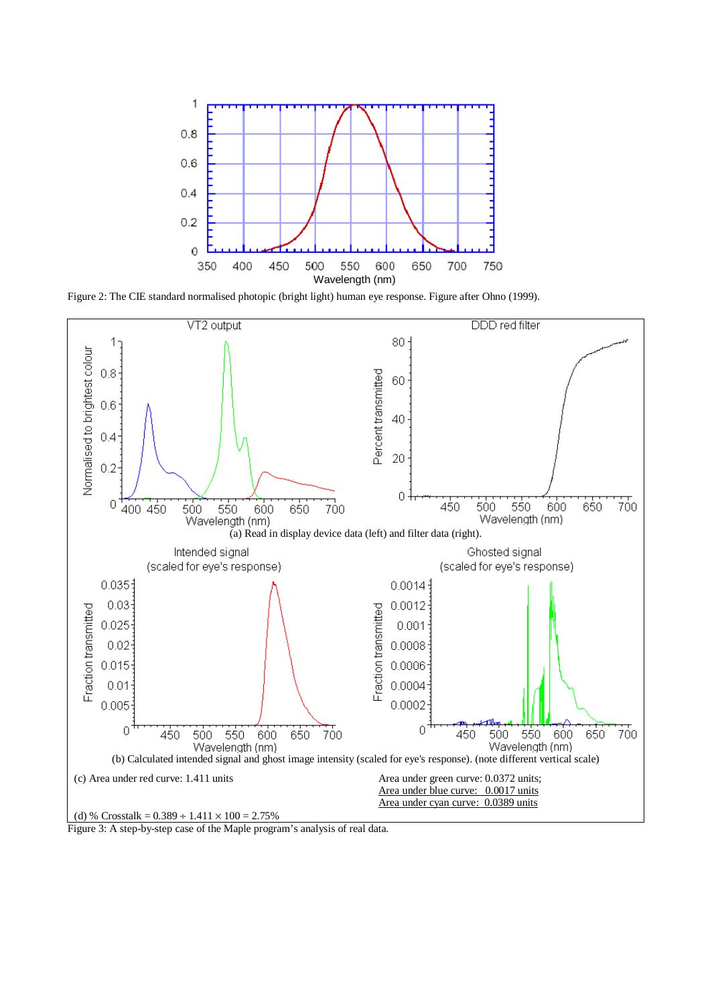

Figure 2: The CIE standard normalised photopic (bright light) human eye response. Figure after Ohno (1999).



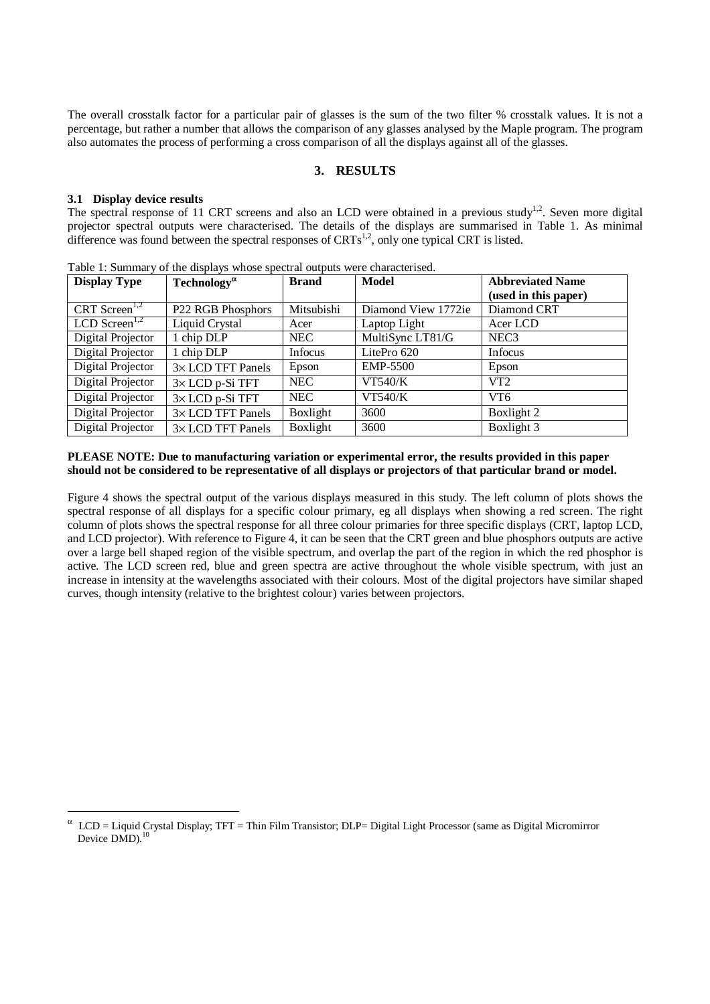The overall crosstalk factor for a particular pair of glasses is the sum of the two filter % crosstalk values. It is not a percentage, but rather a number that allows the comparison of any glasses analysed by the Maple program. The program also automates the process of performing a cross comparison of all the displays against all of the glasses.

#### **3. RESULTS**

#### **3.1 Display device results**

 $\overline{a}$ 

The spectral response of 11 CRT screens and also an LCD were obtained in a previous study<sup>1,2</sup>. Seven more digital projector spectral outputs were characterised. The details of the displays are summarised in Table 1. As minimal difference was found between the spectral responses of  $CRTs^{1,2}$ , only one typical CRT is listed.

| <b>Display Type</b>                    | Technology <sup><math>\alpha</math></sup> | <b>Brand</b>   | Model               | <b>Abbreviated Name</b><br>(used in this paper) |
|----------------------------------------|-------------------------------------------|----------------|---------------------|-------------------------------------------------|
| CRT Screen <sup>1,2</sup>              | P <sub>22</sub> RGB Phosphors             | Mitsubishi     | Diamond View 1772ie | Diamond CRT                                     |
| LCD Screen <sup><math>1,2</math></sup> | Liquid Crystal                            | Acer           | Laptop Light        | Acer LCD                                        |
| Digital Projector                      | 1 chip DLP                                | <b>NEC</b>     | MultiSync LT81/G    | NEC <sub>3</sub>                                |
| Digital Projector                      | 1 chip DLP                                | <b>Infocus</b> | LitePro 620         | <b>Infocus</b>                                  |
| Digital Projector                      | 3× LCD TFT Panels                         | Epson          | <b>EMP-5500</b>     | Epson                                           |
| Digital Projector                      | 3× LCD p-Si TFT                           | <b>NEC</b>     | <b>VT540/K</b>      | VT2                                             |
| Digital Projector                      | 3× LCD p-Si TFT                           | <b>NEC</b>     | <b>VT540/K</b>      | VT6                                             |
| Digital Projector                      | 3× LCD TFT Panels                         | Boxlight       | 3600                | Boxlight 2                                      |
| Digital Projector                      | 3× LCD TFT Panels                         | Boxlight       | 3600                | Boxlight 3                                      |

Table 1: Summary of the displays whose spectral outputs were characterised.

#### **PLEASE NOTE: Due to manufacturing variation or experimental error, the results provided in this paper should not be considered to be representative of all displays or projectors of that particular brand or model.**

Figure 4 shows the spectral output of the various displays measured in this study. The left column of plots shows the spectral response of all displays for a specific colour primary, eg all displays when showing a red screen. The right column of plots shows the spectral response for all three colour primaries for three specific displays (CRT, laptop LCD, and LCD projector). With reference to Figure 4, it can be seen that the CRT green and blue phosphors outputs are active over a large bell shaped region of the visible spectrum, and overlap the part of the region in which the red phosphor is active. The LCD screen red, blue and green spectra are active throughout the whole visible spectrum, with just an increase in intensity at the wavelengths associated with their colours. Most of the digital projectors have similar shaped curves, though intensity (relative to the brightest colour) varies between projectors.

 $\alpha$  LCD = Liquid Crystal Display; TFT = Thin Film Transistor; DLP= Digital Light Processor (same as Digital Micromirror Device  $DMD$ ).<sup>10</sup>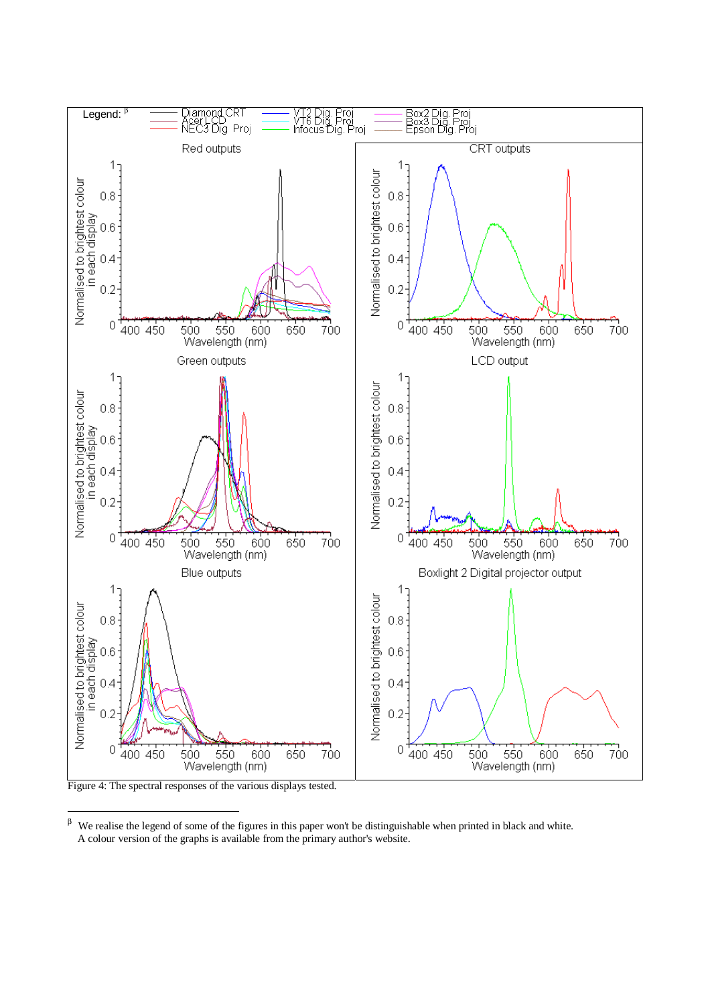

Figure 4: The spectral responses of the various displays tested.

 $\overline{a}$ 

β We realise the legend of some of the figures in this paper won't be distinguishable when printed in black and white. A colour version of the graphs is available from the primary author's website.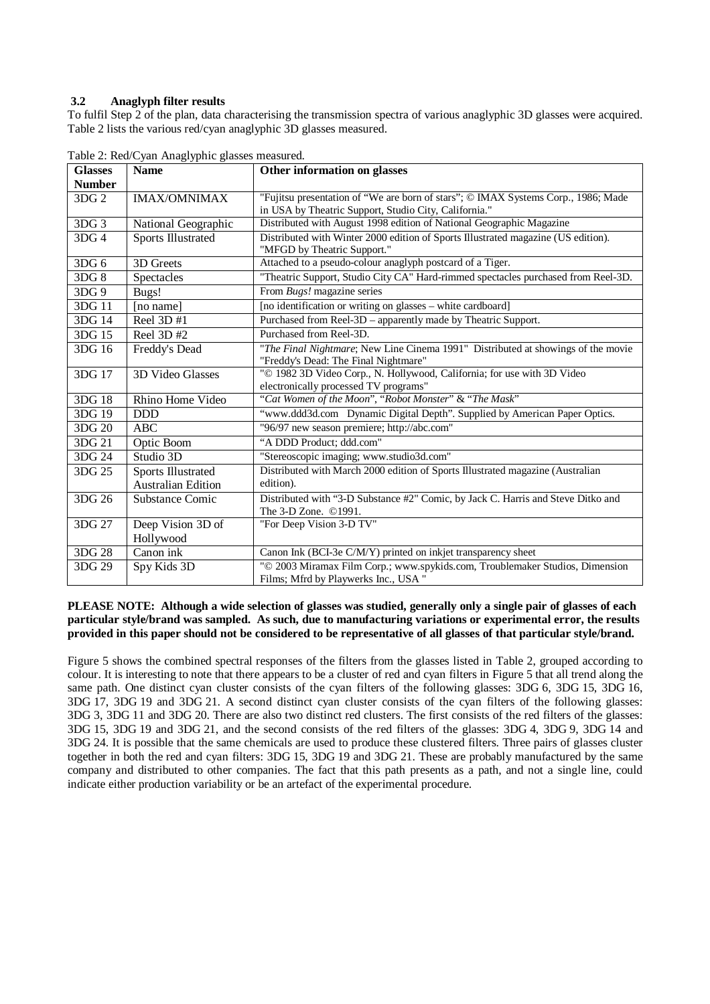#### **3.2 Anaglyph filter results**

To fulfil Step 2 of the plan, data characterising the transmission spectra of various anaglyphic 3D glasses were acquired. Table 2 lists the various red/cyan anaglyphic 3D glasses measured.

| <b>Glasses</b>   | <b>Name</b>                                            | Other information on glasses                                                                                                               |  |  |  |  |
|------------------|--------------------------------------------------------|--------------------------------------------------------------------------------------------------------------------------------------------|--|--|--|--|
| <b>Number</b>    |                                                        |                                                                                                                                            |  |  |  |  |
| 3DG 2            | <b>IMAX/OMNIMAX</b>                                    | "Fujitsu presentation of "We are born of stars"; © IMAX Systems Corp., 1986; Made<br>in USA by Theatric Support, Studio City, California." |  |  |  |  |
| 3DG 3            | National Geographic                                    | Distributed with August 1998 edition of National Geographic Magazine                                                                       |  |  |  |  |
| 3DG <sub>4</sub> | <b>Sports Illustrated</b>                              | Distributed with Winter 2000 edition of Sports Illustrated magazine (US edition).<br>"MFGD by Theatric Support."                           |  |  |  |  |
| 3DG <sub>6</sub> | 3D Greets                                              | Attached to a pseudo-colour anaglyph postcard of a Tiger.                                                                                  |  |  |  |  |
| 3DG8             | Spectacles                                             | "Theatric Support, Studio City CA" Hard-rimmed spectacles purchased from Reel-3D.                                                          |  |  |  |  |
| 3DG 9            | Bugs!                                                  | From Bugs! magazine series                                                                                                                 |  |  |  |  |
| 3DG 11           | [no name]                                              | [no identification or writing on glasses - white cardboard]                                                                                |  |  |  |  |
| 3DG 14           | Reel 3D#1                                              | Purchased from Reel-3D – apparently made by Theatric Support.                                                                              |  |  |  |  |
| 3DG 15           | Reel 3D#2                                              | Purchased from Reel-3D.                                                                                                                    |  |  |  |  |
| 3DG 16           | Freddy's Dead                                          | "The Final Nightmare; New Line Cinema 1991" Distributed at showings of the movie<br>"Freddy's Dead: The Final Nightmare"                   |  |  |  |  |
| 3DG 17           | 3D Video Glasses                                       | "© 1982 3D Video Corp., N. Hollywood, California; for use with 3D Video<br>electronically processed TV programs"                           |  |  |  |  |
| 3DG 18           | Rhino Home Video                                       | "Cat Women of the Moon", "Robot Monster" & "The Mask"                                                                                      |  |  |  |  |
| 3DG 19           | <b>DDD</b>                                             | "www.ddd3d.com Dynamic Digital Depth". Supplied by American Paper Optics.                                                                  |  |  |  |  |
| 3DG 20           | <b>ABC</b>                                             | "96/97 new season premiere; http://abc.com"                                                                                                |  |  |  |  |
| 3DG 21           | Optic Boom                                             | "A DDD Product; ddd.com"                                                                                                                   |  |  |  |  |
| 3DG 24           | Studio 3D                                              | "Stereoscopic imaging; www.studio3d.com"                                                                                                   |  |  |  |  |
| 3DG 25           | <b>Sports Illustrated</b><br><b>Australian Edition</b> | Distributed with March 2000 edition of Sports Illustrated magazine (Australian<br>edition).                                                |  |  |  |  |
| 3DG 26           | Substance Comic                                        | Distributed with "3-D Substance #2" Comic, by Jack C. Harris and Steve Ditko and<br>The 3-D Zone. ©1991.                                   |  |  |  |  |
| 3DG 27           | Deep Vision 3D of<br>Hollywood                         | "For Deep Vision 3-D TV"                                                                                                                   |  |  |  |  |
| 3DG 28           | Canon ink                                              | Canon Ink (BCI-3e C/M/Y) printed on inkjet transparency sheet                                                                              |  |  |  |  |
| 3DG 29           | Spy Kids 3D                                            | "© 2003 Miramax Film Corp.; www.spykids.com, Troublemaker Studios, Dimension<br>Films; Mfrd by Playwerks Inc., USA "                       |  |  |  |  |

Table 2: Red/Cyan Anaglyphic glasses measured.

#### **PLEASE NOTE: Although a wide selection of glasses was studied, generally only a single pair of glasses of each particular style/brand was sampled. As such, due to manufacturing variations or experimental error, the results provided in this paper should not be considered to be representative of all glasses of that particular style/brand.**

Figure 5 shows the combined spectral responses of the filters from the glasses listed in Table 2, grouped according to colour. It is interesting to note that there appears to be a cluster of red and cyan filters in Figure 5 that all trend along the same path. One distinct cyan cluster consists of the cyan filters of the following glasses: 3DG 6, 3DG 15, 3DG 16, 3DG 17, 3DG 19 and 3DG 21. A second distinct cyan cluster consists of the cyan filters of the following glasses: 3DG 3, 3DG 11 and 3DG 20. There are also two distinct red clusters. The first consists of the red filters of the glasses: 3DG 15, 3DG 19 and 3DG 21, and the second consists of the red filters of the glasses: 3DG 4, 3DG 9, 3DG 14 and 3DG 24. It is possible that the same chemicals are used to produce these clustered filters. Three pairs of glasses cluster together in both the red and cyan filters: 3DG 15, 3DG 19 and 3DG 21. These are probably manufactured by the same company and distributed to other companies. The fact that this path presents as a path, and not a single line, could indicate either production variability or be an artefact of the experimental procedure.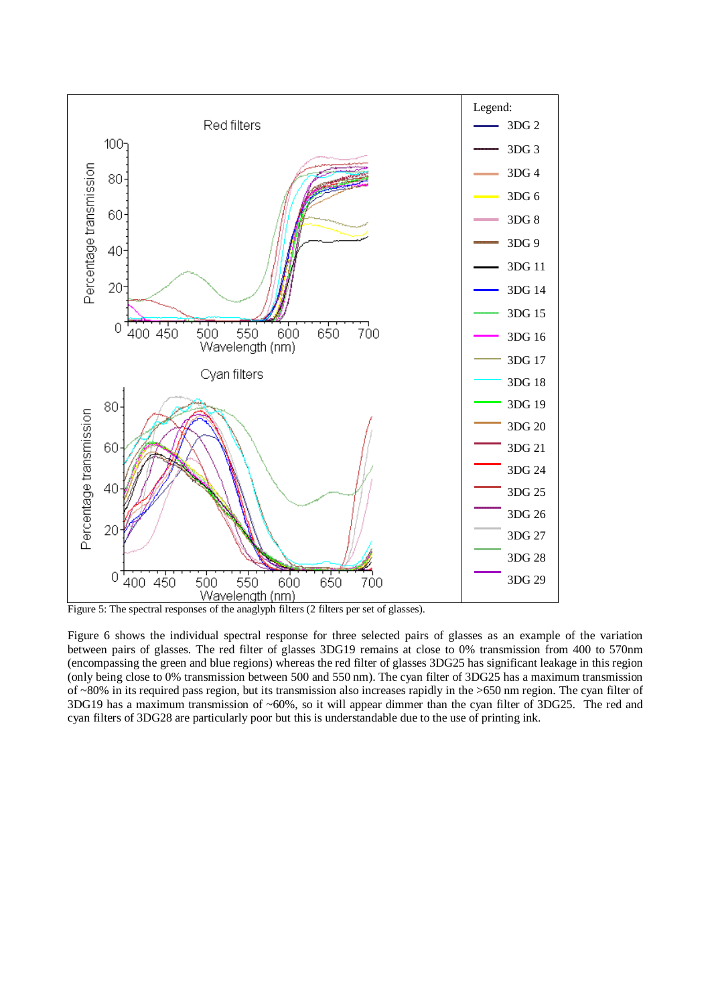

Figure 5: The spectral responses of the anaglyph filters (2 filters per set of glasses).

Figure 6 shows the individual spectral response for three selected pairs of glasses as an example of the variation between pairs of glasses. The red filter of glasses 3DG19 remains at close to 0% transmission from 400 to 570nm (encompassing the green and blue regions) whereas the red filter of glasses 3DG25 has significant leakage in this region (only being close to 0% transmission between 500 and 550 nm). The cyan filter of 3DG25 has a maximum transmission of ~80% in its required pass region, but its transmission also increases rapidly in the >650 nm region. The cyan filter of 3DG19 has a maximum transmission of ~60%, so it will appear dimmer than the cyan filter of 3DG25. The red and cyan filters of 3DG28 are particularly poor but this is understandable due to the use of printing ink.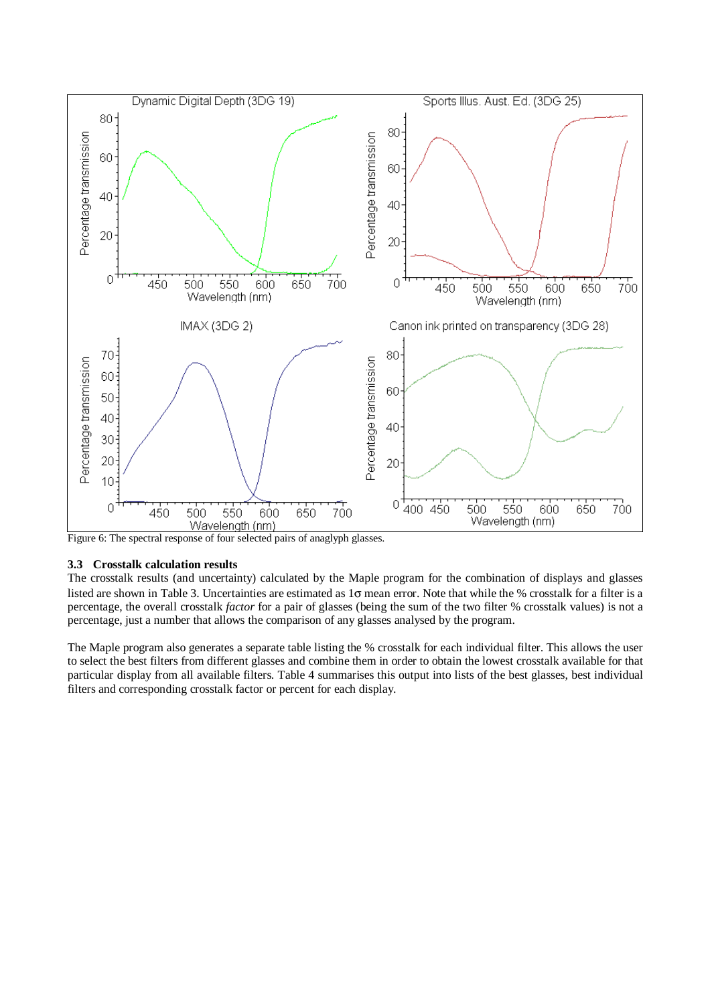

Figure 6: The spectral response of four selected pairs of anaglyph glasses.

#### **3.3 Crosstalk calculation results**

The crosstalk results (and uncertainty) calculated by the Maple program for the combination of displays and glasses listed are shown in Table 3. Uncertainties are estimated as 1σ mean error. Note that while the % crosstalk for a filter is a percentage, the overall crosstalk *factor* for a pair of glasses (being the sum of the two filter % crosstalk values) is not a percentage, just a number that allows the comparison of any glasses analysed by the program.

The Maple program also generates a separate table listing the % crosstalk for each individual filter. This allows the user to select the best filters from different glasses and combine them in order to obtain the lowest crosstalk available for that particular display from all available filters. Table 4 summarises this output into lists of the best glasses, best individual filters and corresponding crosstalk factor or percent for each display.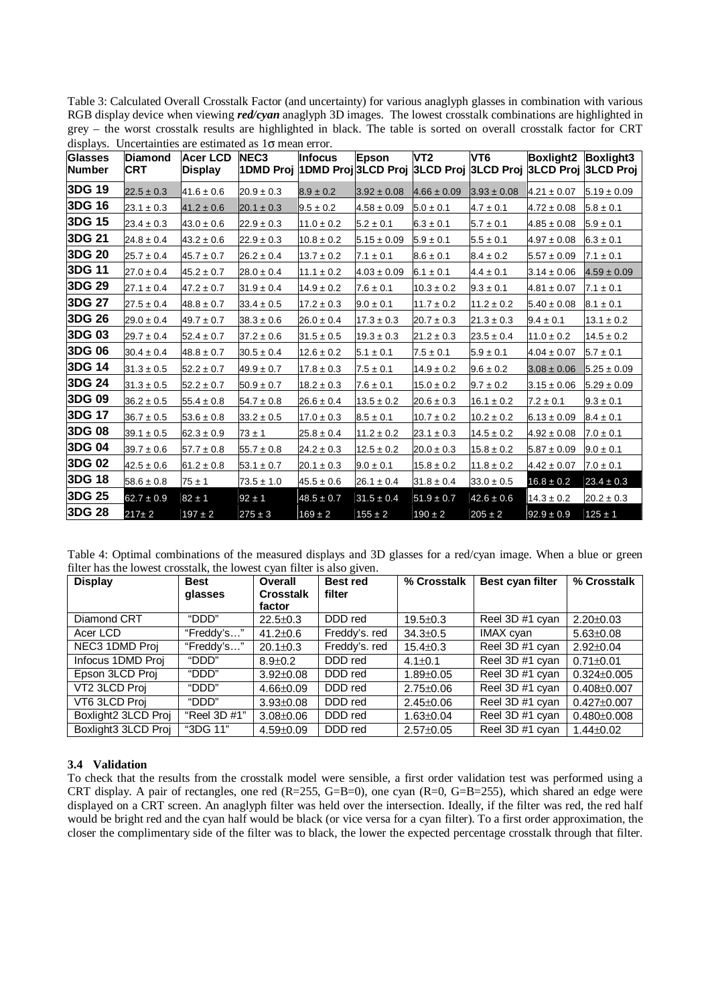| Table 3: Calculated Overall Crosstalk Factor (and uncertainty) for various anaglyph glasses in combination with various |
|-------------------------------------------------------------------------------------------------------------------------|
| RGB display device when viewing $red/cyan$ anaglyph 3D images. The lowest crosstalk combinations are highlighted in     |
| $grey - the worst crosstalk results are highlighted in black. The table is sorted on overall crosstalk factor for CRT$  |
| displays. Uncertainties are estimated as $1\sigma$ mean error.                                                          |

| <b>Glasses</b><br><b>Number</b> | <b>Diamond</b><br><b>CRT</b> | <b>Acer LCD</b><br><b>Display</b> | NEC <sub>3</sub><br>1DMD Proj 1DMD Proj 3LCD Proj 3LCD Proj 3LCD Proj 3LCD Proj 3LCD Proj | <b>Infocus</b> | Epson           | VT <sub>2</sub> | VT6             | Boxlight2 Boxlight3 |                 |
|---------------------------------|------------------------------|-----------------------------------|-------------------------------------------------------------------------------------------|----------------|-----------------|-----------------|-----------------|---------------------|-----------------|
| 3DG 19                          | $22.5 \pm 0.3$               | $41.6 \pm 0.6$                    | $20.9 \pm 0.3$                                                                            | $8.9 \pm 0.2$  | $3.92 \pm 0.08$ | $4.66 \pm 0.09$ | $3.93 \pm 0.08$ | $4.21 \pm 0.07$     | $5.19 \pm 0.09$ |
| 3DG 16                          | $23.1 \pm 0.3$               | $41.2 \pm 0.6$                    | $20.1 \pm 0.3$                                                                            | $9.5 \pm 0.2$  | $4.58 \pm 0.09$ | $5.0 \pm 0.1$   | $4.7 \pm 0.1$   | $4.72 \pm 0.08$     | $5.8 \pm 0.1$   |
| 3DG 15                          | $23.4 \pm 0.3$               | $43.0 \pm 0.6$                    | $22.9 \pm 0.3$                                                                            | $11.0 \pm 0.2$ | $5.2 \pm 0.1$   | $6.3 \pm 0.1$   | $5.7 \pm 0.1$   | $4.85 \pm 0.08$     | $5.9 \pm 0.1$   |
| 3DG 21                          | $24.8 \pm 0.4$               | $43.2 \pm 0.6$                    | $22.9 \pm 0.3$                                                                            | $10.8 \pm 0.2$ | $5.15 \pm 0.09$ | $5.9 \pm 0.1$   | $5.5 \pm 0.1$   | $4.97 \pm 0.08$     | $6.3 \pm 0.1$   |
| 3DG 20                          | $25.7 \pm 0.4$               | $45.7 \pm 0.7$                    | $26.2 \pm 0.4$                                                                            | $13.7 \pm 0.2$ | $7.1 \pm 0.1$   | $8.6 \pm 0.1$   | $8.4 \pm 0.2$   | $5.57 \pm 0.09$     | $7.1 \pm 0.1$   |
| 3DG 11                          | $27.0 \pm 0.4$               | $45.2 \pm 0.7$                    | $28.0 \pm 0.4$                                                                            | $11.1 \pm 0.2$ | $4.03 \pm 0.09$ | $6.1 \pm 0.1$   | $4.4 \pm 0.1$   | $3.14 \pm 0.06$     | $4.59 \pm 0.09$ |
| 3DG 29                          | $27.1 \pm 0.4$               | $47.2 \pm 0.7$                    | $31.9 \pm 0.4$                                                                            | $14.9 \pm 0.2$ | $7.6 \pm 0.1$   | $10.3 \pm 0.2$  | $9.3 \pm 0.1$   | $4.81 \pm 0.07$     | $7.1 \pm 0.1$   |
| 3DG 27                          | $27.5 \pm 0.4$               | $48.8 \pm 0.7$                    | $33.4 \pm 0.5$                                                                            | $17.2 \pm 0.3$ | $9.0 \pm 0.1$   | $11.7 \pm 0.2$  | $11.2 \pm 0.2$  | $5.40 \pm 0.08$     | $8.1 \pm 0.1$   |
| 3DG 26                          | $29.0 \pm 0.4$               | $49.7 \pm 0.7$                    | $38.3 \pm 0.6$                                                                            | $26.0 \pm 0.4$ | $17.3 \pm 0.3$  | $20.7 \pm 0.3$  | $21.3 \pm 0.3$  | $9.4 \pm 0.1$       | $13.1 \pm 0.2$  |
| 3DG 03                          | $29.7 \pm 0.4$               | $52.4 \pm 0.7$                    | $37.2 \pm 0.6$                                                                            | $31.5 \pm 0.5$ | $19.3 \pm 0.3$  | $21.2 \pm 0.3$  | $23.5 \pm 0.4$  | $11.0 \pm 0.2$      | $14.5 \pm 0.2$  |
| 3DG 06                          | $30.4 \pm 0.4$               | $48.8 \pm 0.7$                    | $30.5 \pm 0.4$                                                                            | $12.6 \pm 0.2$ | $5.1 \pm 0.1$   | $7.5 \pm 0.1$   | $5.9 \pm 0.1$   | $4.04 \pm 0.07$     | $5.7 \pm 0.1$   |
| 3DG 14                          | $31.3 \pm 0.5$               | $52.2 \pm 0.7$                    | $49.9 \pm 0.7$                                                                            | $17.8 \pm 0.3$ | $7.5 \pm 0.1$   | $14.9 \pm 0.2$  | $9.6 \pm 0.2$   | $3.08 \pm 0.06$     | $5.25 \pm 0.09$ |
| 3DG 24                          | $31.3 \pm 0.5$               | $52.2 \pm 0.7$                    | $50.9 \pm 0.7$                                                                            | $18.2 \pm 0.3$ | $7.6 \pm 0.1$   | $15.0 \pm 0.2$  | $9.7 \pm 0.2$   | $3.15 \pm 0.06$     | $5.29 \pm 0.09$ |
| 3DG 09                          | $36.2 \pm 0.5$               | $55.4 \pm 0.8$                    | $54.7 \pm 0.8$                                                                            | $26.6 \pm 0.4$ | $13.5 \pm 0.2$  | $20.6 \pm 0.3$  | $16.1 \pm 0.2$  | $7.2 \pm 0.1$       | $9.3 \pm 0.1$   |
| 3DG 17                          | $36.7 \pm 0.5$               | $53.6 \pm 0.8$                    | $33.2 \pm 0.5$                                                                            | $17.0 \pm 0.3$ | $8.5 \pm 0.1$   | $10.7 \pm 0.2$  | $10.2 \pm 0.2$  | $6.13 \pm 0.09$     | $8.4 \pm 0.1$   |
| 3DG 08                          | $39.1 \pm 0.5$               | $62.3 \pm 0.9$                    | $73 \pm 1$                                                                                | $25.8 \pm 0.4$ | $11.2 \pm 0.2$  | $23.1 \pm 0.3$  | $14.5 \pm 0.2$  | $4.92 \pm 0.08$     | $7.0 \pm 0.1$   |
| 3DG 04                          | $39.7 \pm 0.6$               | $57.7 \pm 0.8$                    | $55.7 \pm 0.8$                                                                            | $24.2 \pm 0.3$ | $12.5 \pm 0.2$  | $20.0 \pm 0.3$  | $15.8 \pm 0.2$  | $5.87 \pm 0.09$     | $9.0 \pm 0.1$   |
| 3DG 02                          | $42.5 \pm 0.6$               | $61.2 \pm 0.8$                    | $53.1 \pm 0.7$                                                                            | $20.1 \pm 0.3$ | $9.0 \pm 0.1$   | $15.8 \pm 0.2$  | $11.8 \pm 0.2$  | $4.42 \pm 0.07$     | $7.0 \pm 0.1$   |
| 3DG 18                          | $58.6 \pm 0.8$               | $75 \pm 1$                        | $73.5 \pm 1.0$                                                                            | $45.5 \pm 0.6$ | $26.1 \pm 0.4$  | $31.8 \pm 0.4$  | $33.0 \pm 0.5$  | $16.8 \pm 0.2$      | $23.4 \pm 0.3$  |
| 3DG 25                          | $62.7 \pm 0.9$               | $82 \pm 1$                        | $92 \pm 1$                                                                                | $48.5 \pm 0.7$ | $31.5 \pm 0.4$  | $51.9 \pm 0.7$  | $42.6 \pm 0.6$  | $14.3 \pm 0.2$      | $20.2 \pm 0.3$  |
| 3DG 28                          | $217 \pm 2$                  | $197 \pm 2$                       | $275 \pm 3$                                                                               | $169 \pm 2$    | $155 \pm 2$     | $190 \pm 2$     | $205 \pm 2$     | $92.9 \pm 0.9$      | $125 \pm 1$     |

Table 4: Optimal combinations of the measured displays and 3D glasses for a red/cyan image. When a blue or green filter has the lowest crosstalk, the lowest cyan filter is also given.

| <b>Display</b>      | <b>Best</b>  | Overall          | <b>Best red</b> | % Crosstalk     | Best cyan filter | % Crosstalk       |
|---------------------|--------------|------------------|-----------------|-----------------|------------------|-------------------|
|                     | glasses      | <b>Crosstalk</b> | filter          |                 |                  |                   |
|                     |              | factor           |                 |                 |                  |                   |
| Diamond CRT         | "DDD"        | $22.5 \pm 0.3$   | DDD red         | $19.5 \pm 0.3$  | Reel 3D #1 cyan  | $2.20 \pm 0.03$   |
| Acer LCD            | "Freddy's"   | $41.2 \pm 0.6$   | Freddy's. red   | $34.3{\pm}0.5$  | IMAX cyan        | $5.63 \pm 0.08$   |
| NEC3 1DMD Proj      | "Freddy's"   | $20.1 \pm 0.3$   | Freddy's. red   | $15.4 \pm 0.3$  | Reel 3D #1 cyan  | $2.92 \pm 0.04$   |
| Infocus 1DMD Proj   | "DDD"        | $8.9 \pm 0.2$    | DDD red         | $4.1 \pm 0.1$   | Reel 3D #1 cyan  | $0.71 \pm 0.01$   |
| Epson 3LCD Proj     | "DDD"        | $3.92 \pm 0.08$  | DDD red         | $1.89 \pm 0.05$ | Reel 3D #1 cyan  | $0.324 \pm 0.005$ |
| VT2 3LCD Proj       | "DDD"        | $4.66 \pm 0.09$  | DDD red         | $2.75 \pm 0.06$ | Reel 3D #1 cyan  | $0.408 \pm 0.007$ |
| VT6 3LCD Proj       | "DDD"        | $3.93 \pm 0.08$  | DDD red         | $2.45 \pm 0.06$ | Reel 3D #1 cyan  | $0.427 \pm 0.007$ |
| Boxlight2 3LCD Proj | "Reel 3D #1" | $3.08 \pm 0.06$  | DDD red         | $1.63 \pm 0.04$ | Reel 3D #1 cyan  | $0.480 \pm 0.008$ |
| Boxlight3 3LCD Proj | "3DG 11"     | $4.59 \pm 0.09$  | DDD red         | $2.57 \pm 0.05$ | Reel 3D #1 cyan  | $1.44 \pm 0.02$   |

## **3.4 Validation**

To check that the results from the crosstalk model were sensible, a first order validation test was performed using a CRT display. A pair of rectangles, one red (R=255, G=B=0), one cyan (R=0, G=B=255), which shared an edge were displayed on a CRT screen. An anaglyph filter was held over the intersection. Ideally, if the filter was red, the red half would be bright red and the cyan half would be black (or vice versa for a cyan filter). To a first order approximation, the closer the complimentary side of the filter was to black, the lower the expected percentage crosstalk through that filter.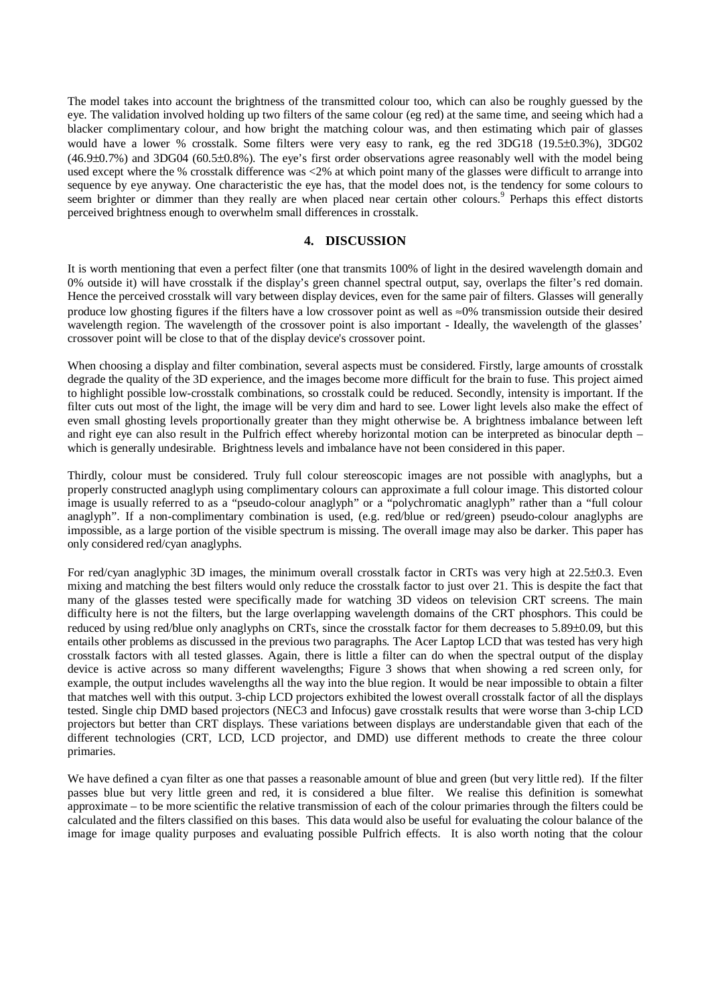The model takes into account the brightness of the transmitted colour too, which can also be roughly guessed by the eye. The validation involved holding up two filters of the same colour (eg red) at the same time, and seeing which had a blacker complimentary colour, and how bright the matching colour was, and then estimating which pair of glasses would have a lower % crosstalk. Some filters were very easy to rank, eg the red 3DG18 (19.5±0.3%), 3DG02 (46.9±0.7%) and 3DG04 (60.5±0.8%). The eye's first order observations agree reasonably well with the model being used except where the % crosstalk difference was <2% at which point many of the glasses were difficult to arrange into sequence by eye anyway. One characteristic the eye has, that the model does not, is the tendency for some colours to seem brighter or dimmer than they really are when placed near certain other colours.<sup>9</sup> Perhaps this effect distorts perceived brightness enough to overwhelm small differences in crosstalk.

### **4. DISCUSSION**

It is worth mentioning that even a perfect filter (one that transmits 100% of light in the desired wavelength domain and 0% outside it) will have crosstalk if the display's green channel spectral output, say, overlaps the filter's red domain. Hence the perceived crosstalk will vary between display devices, even for the same pair of filters. Glasses will generally produce low ghosting figures if the filters have a low crossover point as well as  $\approx 0\%$  transmission outside their desired wavelength region. The wavelength of the crossover point is also important - Ideally, the wavelength of the glasses' crossover point will be close to that of the display device's crossover point.

When choosing a display and filter combination, several aspects must be considered. Firstly, large amounts of crosstalk degrade the quality of the 3D experience, and the images become more difficult for the brain to fuse. This project aimed to highlight possible low-crosstalk combinations, so crosstalk could be reduced. Secondly, intensity is important. If the filter cuts out most of the light, the image will be very dim and hard to see. Lower light levels also make the effect of even small ghosting levels proportionally greater than they might otherwise be. A brightness imbalance between left and right eye can also result in the Pulfrich effect whereby horizontal motion can be interpreted as binocular depth – which is generally undesirable. Brightness levels and imbalance have not been considered in this paper.

Thirdly, colour must be considered. Truly full colour stereoscopic images are not possible with anaglyphs, but a properly constructed anaglyph using complimentary colours can approximate a full colour image. This distorted colour image is usually referred to as a "pseudo-colour anaglyph" or a "polychromatic anaglyph" rather than a "full colour anaglyph". If a non-complimentary combination is used, (e.g. red/blue or red/green) pseudo-colour anaglyphs are impossible, as a large portion of the visible spectrum is missing. The overall image may also be darker. This paper has only considered red/cyan anaglyphs.

For red/cyan anaglyphic 3D images, the minimum overall crosstalk factor in CRTs was very high at 22.5±0.3. Even mixing and matching the best filters would only reduce the crosstalk factor to just over 21. This is despite the fact that many of the glasses tested were specifically made for watching 3D videos on television CRT screens. The main difficulty here is not the filters, but the large overlapping wavelength domains of the CRT phosphors. This could be reduced by using red/blue only anaglyphs on CRTs, since the crosstalk factor for them decreases to 5.89±0.09, but this entails other problems as discussed in the previous two paragraphs. The Acer Laptop LCD that was tested has very high crosstalk factors with all tested glasses. Again, there is little a filter can do when the spectral output of the display device is active across so many different wavelengths; Figure 3 shows that when showing a red screen only, for example, the output includes wavelengths all the way into the blue region. It would be near impossible to obtain a filter that matches well with this output. 3-chip LCD projectors exhibited the lowest overall crosstalk factor of all the displays tested. Single chip DMD based projectors (NEC3 and Infocus) gave crosstalk results that were worse than 3-chip LCD projectors but better than CRT displays. These variations between displays are understandable given that each of the different technologies (CRT, LCD, LCD projector, and DMD) use different methods to create the three colour primaries.

We have defined a cyan filter as one that passes a reasonable amount of blue and green (but very little red). If the filter passes blue but very little green and red, it is considered a blue filter. We realise this definition is somewhat approximate – to be more scientific the relative transmission of each of the colour primaries through the filters could be calculated and the filters classified on this bases. This data would also be useful for evaluating the colour balance of the image for image quality purposes and evaluating possible Pulfrich effects. It is also worth noting that the colour